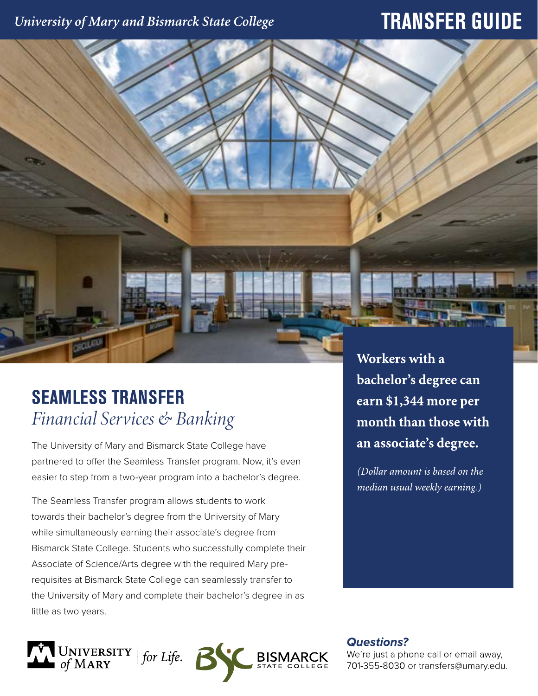### University of Mary and Bismarck State College

## **TRANSFER GUIDE**

# **SEAMLESS TRANSFER**

# *Financial Services & Banking*

The University of Mary and Bismarck State College have partnered to offer the Seamless Transfer program. Now, it's even easier to step from a two-year program into a bachelor's degree.

The Seamless Transfer program allows students to work towards their bachelor's degree from the University of Mary while simultaneously earning their associate's degree from Bismarck State College. Students who successfully complete their Associate of Science/Arts degree with the required Mary prerequisites at Bismarck State College can seamlessly transfer to the University of Mary and complete their bachelor's degree in as little as two years.



Workers with a bachelor's degree can earn \$1,344 more per month than those with an associate's degree.

(Dollar amount is based on the median usual weekly earning.)

**Questions?** 

We're just a phone call or email away, 701-355-8030 or transfers@umary.edu.